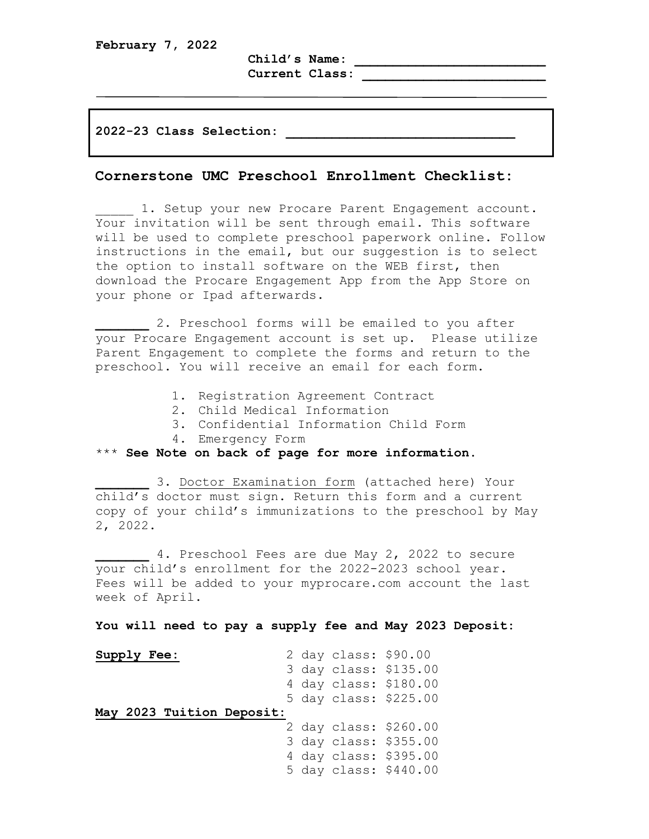**Child's Name: \_\_\_\_\_\_\_\_\_\_\_\_\_\_\_\_\_\_\_\_\_\_\_\_\_** 

**Current Class: \_\_\_\_\_\_\_\_\_\_\_\_\_\_\_\_\_\_\_\_\_\_\_\_**

**2022-23 Class Selection: \_\_\_\_\_\_\_\_\_\_\_\_\_\_\_\_\_\_\_\_\_\_\_\_\_\_\_\_\_\_**

## **Cornerstone UMC Preschool Enrollment Checklist:**

1. Setup your new Procare Parent Engagement account. Your invitation will be sent through email. This software will be used to complete preschool paperwork online. Follow instructions in the email, but our suggestion is to select the option to install software on the WEB first, then download the Procare Engagement App from the App Store on your phone or Ipad afterwards.

**\_\_\_\_\_\_\_** 2**.** Preschool forms will be emailed to you after your Procare Engagement account is set up. Please utilize Parent Engagement to complete the forms and return to the preschool. You will receive an email for each form.

- 1. Registration Agreement Contract
- 2. Child Medical Information
- 3. Confidential Information Child Form
- 4. Emergency Form

\*\*\* **See Note on back of page for more information**.

3. Doctor Examination form (attached here) Your child's doctor must sign. Return this form and a current copy of your child's immunizations to the preschool by May 2, 2022.

**\_\_\_\_\_\_\_** 4. Preschool Fees are due May 2, 2022 to secure your child's enrollment for the 2022-2023 school year. Fees will be added to your myprocare.com account the last week of April.

## **You will need to pay a supply fee and May 2023 Deposit:**

| Supply Fee:               |  | 2 day class: \$90.00 |                       |
|---------------------------|--|----------------------|-----------------------|
|                           |  |                      | 3 day class: \$135.00 |
|                           |  |                      | 4 day class: \$180.00 |
|                           |  |                      | 5 day class: \$225.00 |
| May 2023 Tuition Deposit: |  |                      |                       |
|                           |  |                      | 2 day class: \$260.00 |
|                           |  |                      | 3 day class: \$355.00 |
|                           |  |                      | 4 day class: \$395.00 |
|                           |  |                      | 5 day class: \$440.00 |